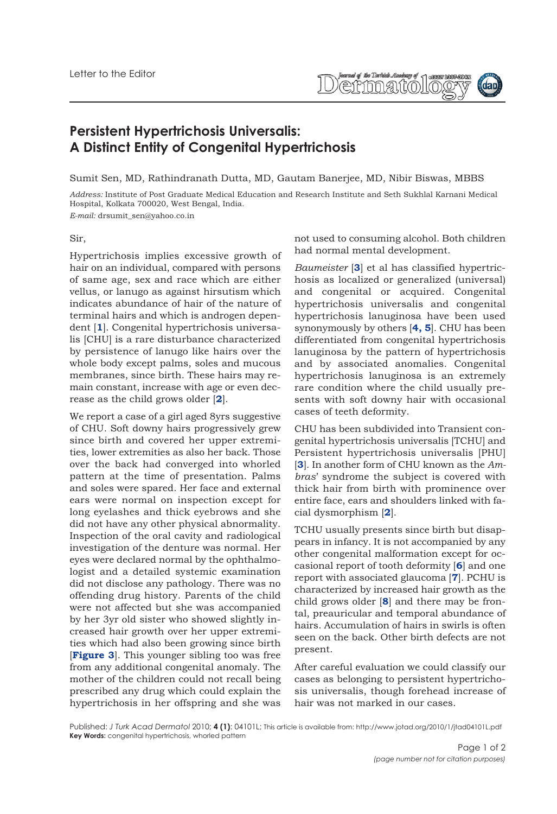faaraal of the Tarketek Asakany of Jasses 1806<br>(WYQQ) (CO) | O) Q

## **Persistent Hypertrichosis Universalis: A Distinct Entity of Congenital Hypertrichosis**

Sumit Sen, MD, Rathindranath Dutta, MD, Gautam Banerjee, MD, Nibir Biswas, MBBS

*Address:* Institute of Post Graduate Medical Education and Research Institute and Seth Sukhlal Karnani Medical Hospital, Kolkata 700020, West Bengal, India.

*E-mail:* drsumit\_sen@yahoo.co.in

## Sir,

Hypertrichosis implies excessive growth of hair on an individual, compared with persons of same age, sex and race which are either vellus, or lanugo as against hirsutism which indicates abundance of hair of the nature of terminal hairs and which is androgen dependent [**1**]. Congenital hypertrichosis universalis [CHU] is a rare disturbance characterized by persistence of lanugo like hairs over the whole body except palms, soles and mucous membranes, since birth. These hairs may remain constant, increase with age or even decrease as the child grows older [**2**].

We report a case of a girl aged 8yrs suggestive of CHU. Soft downy hairs progressively grew since birth and covered her upper extremities, lower extremities as also her back. Those over the back had converged into whorled pattern at the time of presentation. Palms and soles were spared. Her face and external ears were normal on inspection except for long eyelashes and thick eyebrows and she did not have any other physical abnormality. Inspection of the oral cavity and radiological investigation of the denture was normal. Her eyes were declared normal by the ophthalmologist and a detailed systemic examination did not disclose any pathology. There was no offending drug history. Parents of the child were not affected but she was accompanied by her 3yr old sister who showed slightly increased hair growth over her upper extremities which had also been growing since birth [**Figure 3**]. This younger sibling too was free from any additional congenital anomaly. The mother of the children could not recall being prescribed any drug which could explain the hypertrichosis in her offspring and she was

not used to consuming alcohol. Both children had normal mental development.

*Baumeister* [**3**] et al has classified hypertrichosis as localized or generalized (universal) and congenital or acquired. Congenital hypertrichosis universalis and congenital hypertrichosis lanuginosa have been used synonymously by others [**4, 5**]. CHU has been differentiated from congenital hypertrichosis lanuginosa by the pattern of hypertrichosis and by associated anomalies. Congenital hypertrichosis lanuginosa is an extremely rare condition where the child usually presents with soft downy hair with occasional cases of teeth deformity.

CHU has been subdivided into Transient congenital hypertrichosis universalis [TCHU] and Persistent hypertrichosis universalis [PHU] [**3**]. In another form of CHU known as the *Ambras*' syndrome the subject is covered with thick hair from birth with prominence over entire face, ears and shoulders linked with facial dysmorphism [**2**].

TCHU usually presents since birth but disappears in infancy. It is not accompanied by any other congenital malformation except for occasional report of tooth deformity [**6**] and one report with associated glaucoma [**7**]. PCHU is characterized by increased hair growth as the child grows older [**8**] and there may be frontal, preauricular and temporal abundance of hairs. Accumulation of hairs in swirls is often seen on the back. Other birth defects are not present.

After careful evaluation we could classify our cases as belonging to persistent hypertrichosis universalis, though forehead increase of hair was not marked in our cases.

Published: *J Turk Acad Dermatol* 2010; **4 (1)**: 04101L; This article is available from: http://www.jotad.org/2010/1/jtad04101L.pdf **Key Words:** congenital hypertrichosis, whorled pattern